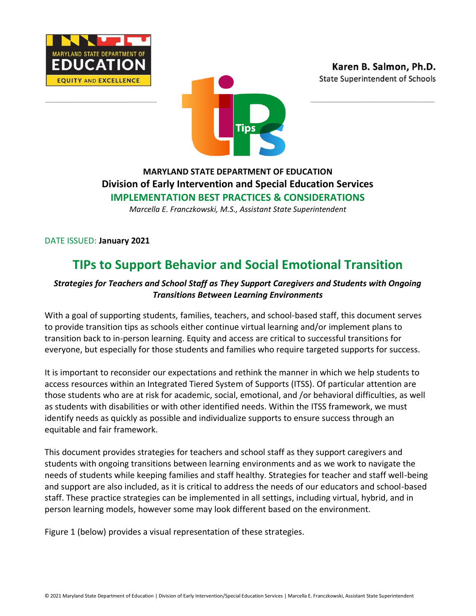





# **MARYLAND STATE DEPARTMENT OF EDUCATION Division of Early Intervention and Special Education Services IMPLEMENTATION BEST PRACTICES & CONSIDERATIONS**

*Marcella E. Franczkowski, M.S., Assistant State Superintendent*

DATE ISSUED: **January 2021**

# **TIPs to Support Behavior and Social Emotional Transition**

# *Strategies for Teachers and School Staff as They Support Caregivers and Students with Ongoing Transitions Between Learning Environments*

With a goal of supporting students, families, teachers, and school-based staff, this document serves to provide transition tips as schools either continue virtual learning and/or implement plans to transition back to in-person learning. Equity and access are critical to successful transitions for everyone, but especially for those students and families who require targeted supports for success.

It is important to reconsider our expectations and rethink the manner in which we help students to access resources within an Integrated Tiered System of Supports (ITSS). Of particular attention are those students who are at risk for academic, social, emotional, and /or behavioral difficulties, as well as students with disabilities or with other identified needs. Within the ITSS framework, we must identify needs as quickly as possible and individualize supports to ensure success through an equitable and fair framework.

This document provides strategies for teachers and school staff as they support caregivers and students with ongoing transitions between learning environments and as we work to navigate the needs of students while keeping families and staff healthy. Strategies for teacher and staff well-being and support are also included, as it is critical to address the needs of our educators and school-based staff. These practice strategies can be implemented in all settings, including virtual, hybrid, and in person learning models, however some may look different based on the environment.

Figure 1 (below) provides a visual representation of these strategies.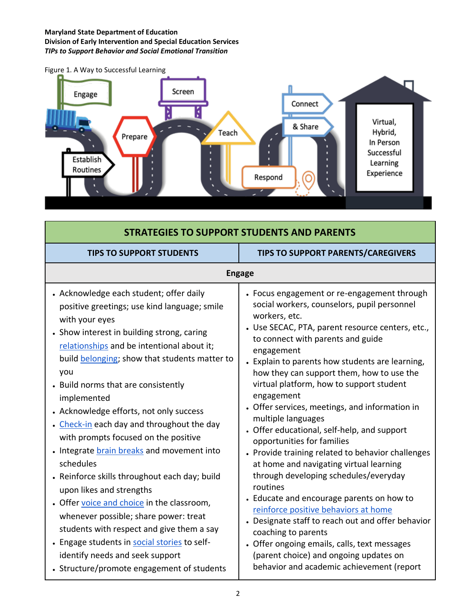#### **Maryland State Department of Education Division of Early Intervention and Special Education Services** *TIPs to Support Behavior and Social Emotional Transition*



| <b>STRATEGIES TO SUPPORT STUDENTS AND PARENTS</b>                                                                                                                                                                                                                                                                                                                                                                                                                                                                                                                                                                                                                                                                                                                                                                                                                 |                                                                                                                                                                                                                                                                                                                                                                                                                                                                                                                                                                                                                                                                                                                                                                                                                                                                                                                                                                                                |  |
|-------------------------------------------------------------------------------------------------------------------------------------------------------------------------------------------------------------------------------------------------------------------------------------------------------------------------------------------------------------------------------------------------------------------------------------------------------------------------------------------------------------------------------------------------------------------------------------------------------------------------------------------------------------------------------------------------------------------------------------------------------------------------------------------------------------------------------------------------------------------|------------------------------------------------------------------------------------------------------------------------------------------------------------------------------------------------------------------------------------------------------------------------------------------------------------------------------------------------------------------------------------------------------------------------------------------------------------------------------------------------------------------------------------------------------------------------------------------------------------------------------------------------------------------------------------------------------------------------------------------------------------------------------------------------------------------------------------------------------------------------------------------------------------------------------------------------------------------------------------------------|--|
| <b>TIPS TO SUPPORT STUDENTS</b>                                                                                                                                                                                                                                                                                                                                                                                                                                                                                                                                                                                                                                                                                                                                                                                                                                   | <b>TIPS TO SUPPORT PARENTS/CAREGIVERS</b>                                                                                                                                                                                                                                                                                                                                                                                                                                                                                                                                                                                                                                                                                                                                                                                                                                                                                                                                                      |  |
| <b>Engage</b>                                                                                                                                                                                                                                                                                                                                                                                                                                                                                                                                                                                                                                                                                                                                                                                                                                                     |                                                                                                                                                                                                                                                                                                                                                                                                                                                                                                                                                                                                                                                                                                                                                                                                                                                                                                                                                                                                |  |
| • Acknowledge each student; offer daily<br>positive greetings; use kind language; smile<br>with your eyes<br>• Show interest in building strong, caring<br>relationships and be intentional about it;<br>build belonging; show that students matter to<br>you<br>• Build norms that are consistently<br>implemented<br>• Acknowledge efforts, not only success<br>• Check-in each day and throughout the day<br>with prompts focused on the positive<br>• Integrate brain breaks and movement into<br>schedules<br>• Reinforce skills throughout each day; build<br>upon likes and strengths<br>• Offer voice and choice in the classroom,<br>whenever possible; share power: treat<br>students with respect and give them a say<br>- Engage students in social stories to self-<br>identify needs and seek support<br>• Structure/promote engagement of students | • Focus engagement or re-engagement through<br>social workers, counselors, pupil personnel<br>workers, etc.<br>• Use SECAC, PTA, parent resource centers, etc.,<br>to connect with parents and guide<br>engagement<br>• Explain to parents how students are learning,<br>how they can support them, how to use the<br>virtual platform, how to support student<br>engagement<br>• Offer services, meetings, and information in<br>multiple languages<br>• Offer educational, self-help, and support<br>opportunities for families<br>• Provide training related to behavior challenges<br>at home and navigating virtual learning<br>through developing schedules/everyday<br>routines<br>• Educate and encourage parents on how to<br>reinforce positive behaviors at home<br>• Designate staff to reach out and offer behavior<br>coaching to parents<br>• Offer ongoing emails, calls, text messages<br>(parent choice) and ongoing updates on<br>behavior and academic achievement (report |  |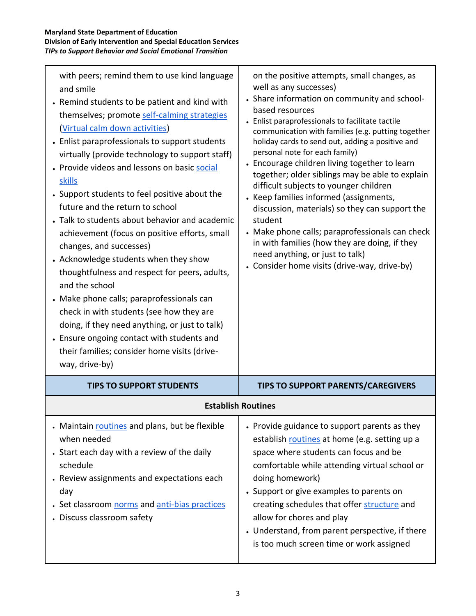| with peers; remind them to use kind language<br>and smile<br>• Remind students to be patient and kind with<br>themselves; promote self-calming strategies<br>(Virtual calm down activities)<br>• Enlist paraprofessionals to support students<br>virtually (provide technology to support staff)<br>• Provide videos and lessons on basic social<br>skills<br>• Support students to feel positive about the<br>future and the return to school<br>• Talk to students about behavior and academic<br>achievement (focus on positive efforts, small<br>changes, and successes)<br>• Acknowledge students when they show<br>thoughtfulness and respect for peers, adults,<br>and the school<br>• Make phone calls; paraprofessionals can<br>check in with students (see how they are<br>doing, if they need anything, or just to talk)<br>• Ensure ongoing contact with students and<br>their families; consider home visits (drive-<br>way, drive-by) | on the positive attempts, small changes, as<br>well as any successes)<br>• Share information on community and school-<br>based resources<br>• Enlist paraprofessionals to facilitate tactile<br>communication with families (e.g. putting together<br>holiday cards to send out, adding a positive and<br>personal note for each family)<br>• Encourage children living together to learn<br>together; older siblings may be able to explain<br>difficult subjects to younger children<br>• Keep families informed (assignments,<br>discussion, materials) so they can support the<br>student<br>• Make phone calls; paraprofessionals can check<br>in with families (how they are doing, if they<br>need anything, or just to talk)<br>• Consider home visits (drive-way, drive-by) |
|-----------------------------------------------------------------------------------------------------------------------------------------------------------------------------------------------------------------------------------------------------------------------------------------------------------------------------------------------------------------------------------------------------------------------------------------------------------------------------------------------------------------------------------------------------------------------------------------------------------------------------------------------------------------------------------------------------------------------------------------------------------------------------------------------------------------------------------------------------------------------------------------------------------------------------------------------------|--------------------------------------------------------------------------------------------------------------------------------------------------------------------------------------------------------------------------------------------------------------------------------------------------------------------------------------------------------------------------------------------------------------------------------------------------------------------------------------------------------------------------------------------------------------------------------------------------------------------------------------------------------------------------------------------------------------------------------------------------------------------------------------|
| <b>TIPS TO SUPPORT STUDENTS</b>                                                                                                                                                                                                                                                                                                                                                                                                                                                                                                                                                                                                                                                                                                                                                                                                                                                                                                                     | <b>TIPS TO SUPPORT PARENTS/CAREGIVERS</b>                                                                                                                                                                                                                                                                                                                                                                                                                                                                                                                                                                                                                                                                                                                                            |
|                                                                                                                                                                                                                                                                                                                                                                                                                                                                                                                                                                                                                                                                                                                                                                                                                                                                                                                                                     | <b>Establish Routines</b>                                                                                                                                                                                                                                                                                                                                                                                                                                                                                                                                                                                                                                                                                                                                                            |
| . Maintain routines and plans, but be flexible<br>when needed<br>. Start each day with a review of the daily<br>schedule<br>• Review assignments and expectations each<br>day<br>Set classroom norms and anti-bias practices<br>Discuss classroom safety                                                                                                                                                                                                                                                                                                                                                                                                                                                                                                                                                                                                                                                                                            | • Provide guidance to support parents as they<br>establish routines at home (e.g. setting up a<br>space where students can focus and be<br>comfortable while attending virtual school or<br>doing homework)<br>• Support or give examples to parents on<br>creating schedules that offer structure and<br>allow for chores and play<br>• Understand, from parent perspective, if there<br>is too much screen time or work assigned                                                                                                                                                                                                                                                                                                                                                   |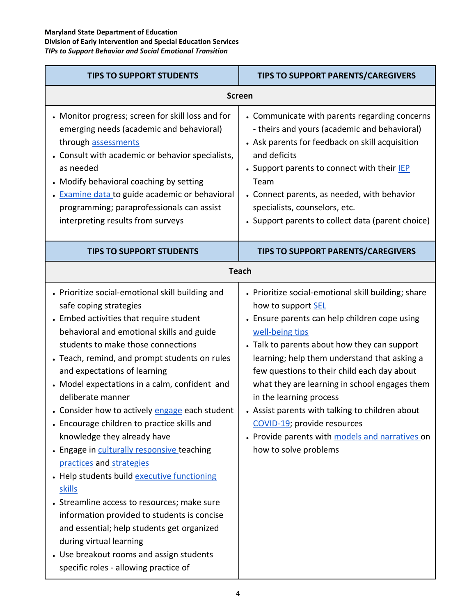| <b>TIPS TO SUPPORT STUDENTS</b>                                                                                                                                                                                                                                                                                                                                                                                                                                                                                                                                                                                                                                                                                                                                                                                                                                                            | <b>TIPS TO SUPPORT PARENTS/CAREGIVERS</b>                                                                                                                                                                                                                                                                                                                                                                                                                                                                                              |  |
|--------------------------------------------------------------------------------------------------------------------------------------------------------------------------------------------------------------------------------------------------------------------------------------------------------------------------------------------------------------------------------------------------------------------------------------------------------------------------------------------------------------------------------------------------------------------------------------------------------------------------------------------------------------------------------------------------------------------------------------------------------------------------------------------------------------------------------------------------------------------------------------------|----------------------------------------------------------------------------------------------------------------------------------------------------------------------------------------------------------------------------------------------------------------------------------------------------------------------------------------------------------------------------------------------------------------------------------------------------------------------------------------------------------------------------------------|--|
| <b>Screen</b>                                                                                                                                                                                                                                                                                                                                                                                                                                                                                                                                                                                                                                                                                                                                                                                                                                                                              |                                                                                                                                                                                                                                                                                                                                                                                                                                                                                                                                        |  |
| • Monitor progress; screen for skill loss and for<br>emerging needs (academic and behavioral)<br>through assessments<br>• Consult with academic or behavior specialists,<br>as needed<br>• Modify behavioral coaching by setting<br>Examine data to guide academic or behavioral<br>programming; paraprofessionals can assist<br>interpreting results from surveys                                                                                                                                                                                                                                                                                                                                                                                                                                                                                                                         | • Communicate with parents regarding concerns<br>- theirs and yours (academic and behavioral)<br>• Ask parents for feedback on skill acquisition<br>and deficits<br>• Support parents to connect with their IEP<br>Team<br>• Connect parents, as needed, with behavior<br>specialists, counselors, etc.<br>• Support parents to collect data (parent choice)                                                                                                                                                                           |  |
| <b>TIPS TO SUPPORT STUDENTS</b>                                                                                                                                                                                                                                                                                                                                                                                                                                                                                                                                                                                                                                                                                                                                                                                                                                                            | <b>TIPS TO SUPPORT PARENTS/CAREGIVERS</b>                                                                                                                                                                                                                                                                                                                                                                                                                                                                                              |  |
| <b>Teach</b>                                                                                                                                                                                                                                                                                                                                                                                                                                                                                                                                                                                                                                                                                                                                                                                                                                                                               |                                                                                                                                                                                                                                                                                                                                                                                                                                                                                                                                        |  |
| • Prioritize social-emotional skill building and<br>safe coping strategies<br>• Embed activities that require student<br>behavioral and emotional skills and guide<br>students to make those connections<br>• Teach, remind, and prompt students on rules<br>and expectations of learning<br>• Model expectations in a calm, confident and<br>deliberate manner<br>• Consider how to actively engage each student<br>• Encourage children to practice skills and<br>knowledge they already have<br>Engage in culturally responsive teaching<br>practices and strategies<br>Help students build executive functioning<br>skills<br>• Streamline access to resources; make sure<br>information provided to students is concise<br>and essential; help students get organized<br>during virtual learning<br>• Use breakout rooms and assign students<br>specific roles - allowing practice of | • Prioritize social-emotional skill building; share<br>how to support SEL<br>• Ensure parents can help children cope using<br>well-being tips<br>• Talk to parents about how they can support<br>learning; help them understand that asking a<br>few questions to their child each day about<br>what they are learning in school engages them<br>in the learning process<br>• Assist parents with talking to children about<br>COVID-19; provide resources<br>• Provide parents with models and narratives on<br>how to solve problems |  |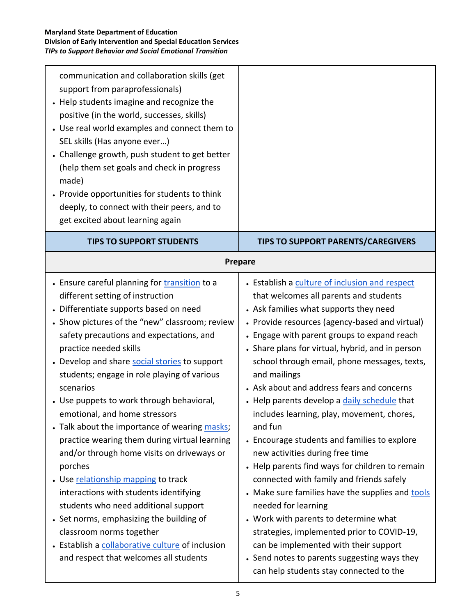| communication and collaboration skills (get<br>support from paraprofessionals)<br>Help students imagine and recognize the<br>positive (in the world, successes, skills)<br>• Use real world examples and connect them to<br>SEL skills (Has anyone ever)<br>• Challenge growth, push student to get better<br>(help them set goals and check in progress<br>made)<br>Provide opportunities for students to think<br>deeply, to connect with their peers, and to<br>get excited about learning again |                                                                                                 |
|-----------------------------------------------------------------------------------------------------------------------------------------------------------------------------------------------------------------------------------------------------------------------------------------------------------------------------------------------------------------------------------------------------------------------------------------------------------------------------------------------------|-------------------------------------------------------------------------------------------------|
| <b>TIPS TO SUPPORT STUDENTS</b>                                                                                                                                                                                                                                                                                                                                                                                                                                                                     | <b>TIPS TO SUPPORT PARENTS/CAREGIVERS</b><br><b>Prepare</b>                                     |
| • Ensure careful planning for <b>transition</b> to a                                                                                                                                                                                                                                                                                                                                                                                                                                                | • Establish a culture of inclusion and respect                                                  |
| different setting of instruction<br>Differentiate supports based on need                                                                                                                                                                                                                                                                                                                                                                                                                            | that welcomes all parents and students<br>• Ask families what supports they need                |
| • Show pictures of the "new" classroom; review                                                                                                                                                                                                                                                                                                                                                                                                                                                      | • Provide resources (agency-based and virtual)                                                  |
| safety precautions and expectations, and<br>practice needed skills                                                                                                                                                                                                                                                                                                                                                                                                                                  | • Engage with parent groups to expand reach<br>• Share plans for virtual, hybrid, and in person |
| • Develop and share social stories to support<br>students; engage in role playing of various                                                                                                                                                                                                                                                                                                                                                                                                        | school through email, phone messages, texts,<br>and mailings                                    |
| scenarios                                                                                                                                                                                                                                                                                                                                                                                                                                                                                           | • Ask about and address fears and concerns                                                      |
| • Use puppets to work through behavioral,<br>emotional, and home stressors                                                                                                                                                                                                                                                                                                                                                                                                                          | • Help parents develop a daily schedule that<br>includes learning, play, movement, chores,      |
| Talk about the importance of wearing masks;<br>practice wearing them during virtual learning                                                                                                                                                                                                                                                                                                                                                                                                        | and fun<br>• Encourage students and families to explore                                         |
| and/or through home visits on driveways or                                                                                                                                                                                                                                                                                                                                                                                                                                                          | new activities during free time                                                                 |
| porches<br>• Use relationship mapping to track                                                                                                                                                                                                                                                                                                                                                                                                                                                      | • Help parents find ways for children to remain<br>connected with family and friends safely     |
| interactions with students identifying                                                                                                                                                                                                                                                                                                                                                                                                                                                              | • Make sure families have the supplies and tools                                                |
| students who need additional support                                                                                                                                                                                                                                                                                                                                                                                                                                                                | needed for learning                                                                             |
| • Set norms, emphasizing the building of<br>classroom norms together                                                                                                                                                                                                                                                                                                                                                                                                                                | • Work with parents to determine what<br>strategies, implemented prior to COVID-19,             |
| • Establish a collaborative culture of inclusion                                                                                                                                                                                                                                                                                                                                                                                                                                                    | can be implemented with their support                                                           |
| and respect that welcomes all students                                                                                                                                                                                                                                                                                                                                                                                                                                                              | • Send notes to parents suggesting ways they<br>can help students stay connected to the         |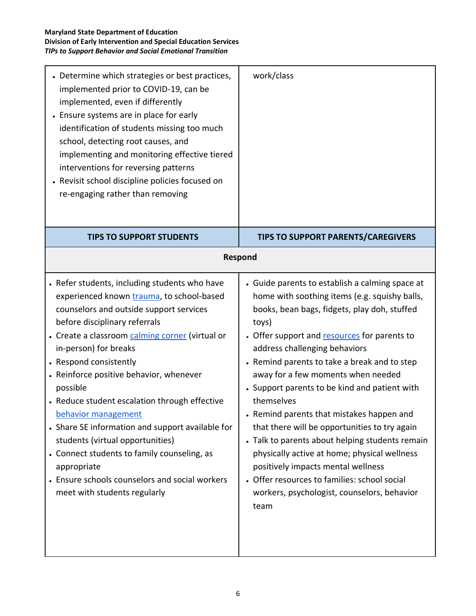| • Determine which strategies or best practices,<br>implemented prior to COVID-19, can be<br>implemented, even if differently<br>• Ensure systems are in place for early<br>identification of students missing too much<br>school, detecting root causes, and<br>implementing and monitoring effective tiered<br>interventions for reversing patterns<br>• Revisit school discipline policies focused on<br>re-engaging rather than removing                                                                                                                                                                                                         | work/class                                                                                                                                                                                                                                                                                                                                                                                                                                                                                                                                                                                                                                                                                                                                    |
|-----------------------------------------------------------------------------------------------------------------------------------------------------------------------------------------------------------------------------------------------------------------------------------------------------------------------------------------------------------------------------------------------------------------------------------------------------------------------------------------------------------------------------------------------------------------------------------------------------------------------------------------------------|-----------------------------------------------------------------------------------------------------------------------------------------------------------------------------------------------------------------------------------------------------------------------------------------------------------------------------------------------------------------------------------------------------------------------------------------------------------------------------------------------------------------------------------------------------------------------------------------------------------------------------------------------------------------------------------------------------------------------------------------------|
| <b>TIPS TO SUPPORT STUDENTS</b>                                                                                                                                                                                                                                                                                                                                                                                                                                                                                                                                                                                                                     | <b>TIPS TO SUPPORT PARENTS/CAREGIVERS</b>                                                                                                                                                                                                                                                                                                                                                                                                                                                                                                                                                                                                                                                                                                     |
| <b>Respond</b>                                                                                                                                                                                                                                                                                                                                                                                                                                                                                                                                                                                                                                      |                                                                                                                                                                                                                                                                                                                                                                                                                                                                                                                                                                                                                                                                                                                                               |
| • Refer students, including students who have<br>experienced known trauma, to school-based<br>counselors and outside support services<br>before disciplinary referrals<br>• Create a classroom calming corner (virtual or<br>in-person) for breaks<br>• Respond consistently<br>• Reinforce positive behavior, whenever<br>possible<br>• Reduce student escalation through effective<br>behavior management<br>• Share SE information and support available for<br>students (virtual opportunities)<br>• Connect students to family counseling, as<br>appropriate<br>• Ensure schools counselors and social workers<br>meet with students regularly | • Guide parents to establish a calming space at<br>home with soothing items (e.g. squishy balls,<br>books, bean bags, fidgets, play doh, stuffed<br>toys)<br>• Offer support and resources for parents to<br>address challenging behaviors<br>• Remind parents to take a break and to step<br>away for a few moments when needed<br>• Support parents to be kind and patient with<br>themselves<br>• Remind parents that mistakes happen and<br>that there will be opportunities to try again<br>• Talk to parents about helping students remain<br>physically active at home; physical wellness<br>positively impacts mental wellness<br>• Offer resources to families: school social<br>workers, psychologist, counselors, behavior<br>team |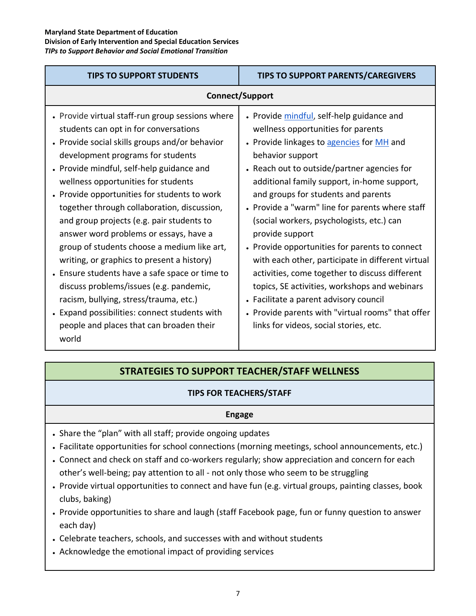| <b>TIPS TO SUPPORT STUDENTS</b>                                                                                                                                                                                                                                                                                                                                                                                                                                                                                                                                                                                                                                                                                                                                                                      | <b>TIPS TO SUPPORT PARENTS/CAREGIVERS</b>                                                                                                                                                                                                                                                                                                                                                                                                                                                                                                                                                                                                                                                                                                                   |
|------------------------------------------------------------------------------------------------------------------------------------------------------------------------------------------------------------------------------------------------------------------------------------------------------------------------------------------------------------------------------------------------------------------------------------------------------------------------------------------------------------------------------------------------------------------------------------------------------------------------------------------------------------------------------------------------------------------------------------------------------------------------------------------------------|-------------------------------------------------------------------------------------------------------------------------------------------------------------------------------------------------------------------------------------------------------------------------------------------------------------------------------------------------------------------------------------------------------------------------------------------------------------------------------------------------------------------------------------------------------------------------------------------------------------------------------------------------------------------------------------------------------------------------------------------------------------|
| <b>Connect/Support</b>                                                                                                                                                                                                                                                                                                                                                                                                                                                                                                                                                                                                                                                                                                                                                                               |                                                                                                                                                                                                                                                                                                                                                                                                                                                                                                                                                                                                                                                                                                                                                             |
| • Provide virtual staff-run group sessions where<br>students can opt in for conversations<br>• Provide social skills groups and/or behavior<br>development programs for students<br>• Provide mindful, self-help guidance and<br>wellness opportunities for students<br>• Provide opportunities for students to work<br>together through collaboration, discussion,<br>and group projects (e.g. pair students to<br>answer word problems or essays, have a<br>group of students choose a medium like art,<br>writing, or graphics to present a history)<br>• Ensure students have a safe space or time to<br>discuss problems/issues (e.g. pandemic,<br>racism, bullying, stress/trauma, etc.)<br>• Expand possibilities: connect students with<br>people and places that can broaden their<br>world | • Provide mindful, self-help guidance and<br>wellness opportunities for parents<br>• Provide linkages to agencies for MH and<br>behavior support<br>• Reach out to outside/partner agencies for<br>additional family support, in-home support,<br>and groups for students and parents<br>• Provide a "warm" line for parents where staff<br>(social workers, psychologists, etc.) can<br>provide support<br>• Provide opportunities for parents to connect<br>with each other, participate in different virtual<br>activities, come together to discuss different<br>topics, SE activities, workshops and webinars<br>• Facilitate a parent advisory council<br>• Provide parents with "virtual rooms" that offer<br>links for videos, social stories, etc. |

# **STRATEGIES TO SUPPORT TEACHER/STAFF WELLNESS**

## **TIPS FOR TEACHERS/STAFF**

#### **Engage**

- Share the "plan" with all staff; provide ongoing updates
- Facilitate opportunities for school connections (morning meetings, school announcements, etc.)
- Connect and check on staff and co-workers regularly; show appreciation and concern for each other's well-being; pay attention to all - not only those who seem to be struggling
- Provide virtual opportunities to connect and have fun (e.g. virtual groups, painting classes, book clubs, baking)
- Provide opportunities to share and laugh (staff Facebook page, fun or funny question to answer each day)
- Celebrate teachers, schools, and successes with and without students
- Acknowledge the emotional impact of providing services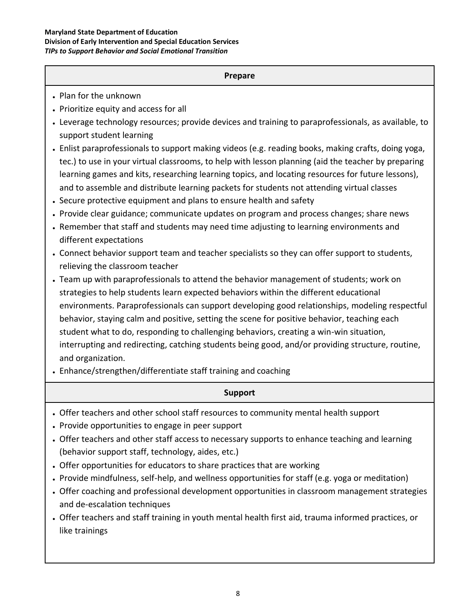#### **Maryland State Department of Education Division of Early Intervention and Special Education Services** *TIPs to Support Behavior and Social Emotional Transition*

### **Prepare**

- Plan for the unknown
- Prioritize equity and access for all
- Leverage technology resources; provide devices and training to paraprofessionals, as available, to support student learning
- Enlist paraprofessionals to support making videos (e.g. reading books, making crafts, doing yoga, tec.) to use in your virtual classrooms, to help with lesson planning (aid the teacher by preparing learning games and kits, researching learning topics, and locating resources for future lessons), and to assemble and distribute learning packets for students not attending virtual classes
- Secure protective equipment and plans to ensure health and safety
- Provide clear guidance; communicate updates on program and process changes; share news
- Remember that staff and students may need time adjusting to learning environments and different expectations
- Connect behavior support team and teacher specialists so they can offer support to students, relieving the classroom teacher
- Team up with paraprofessionals to attend the behavior management of students; work on strategies to help students learn expected behaviors within the different educational environments. Paraprofessionals can support developing good relationships, modeling respectful behavior, staying calm and positive, setting the scene for positive behavior, teaching each student what to do, responding to challenging behaviors, creating a win-win situation, interrupting and redirecting, catching students being good, and/or providing structure, routine, and organization.
- Enhance/strengthen/differentiate staff training and coaching

## **Support**

- Offer teachers and other school staff resources to community mental health support
- Provide opportunities to engage in peer support
- Offer teachers and other staff access to necessary supports to enhance teaching and learning (behavior support staff, technology, aides, etc.)
- Offer opportunities for educators to share practices that are working
- Provide mindfulness, self-help, and wellness opportunities for staff (e.g. yoga or meditation)
- Offer coaching and professional development opportunities in classroom management strategies and de-escalation techniques
- Offer teachers and staff training in youth mental health first aid, trauma informed practices, or like trainings